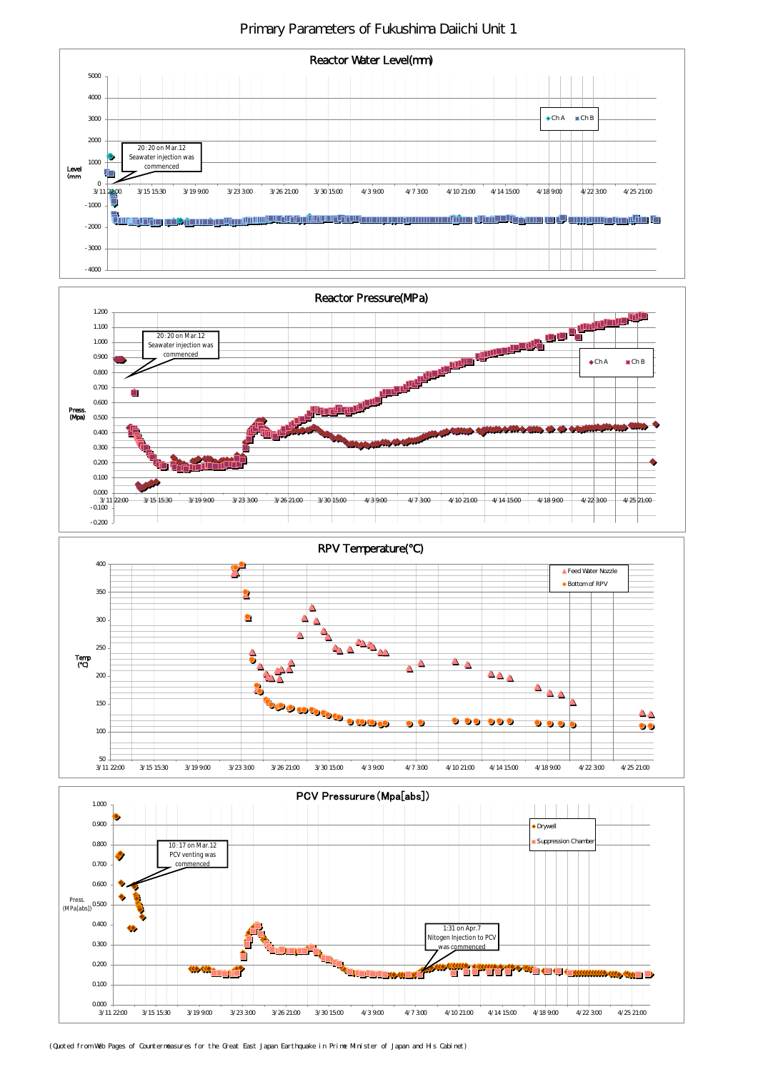Primary Parameters of Fukushima Daiichi Unit 1



PCV Pressurure(Mpa[abs])

1.000



(Quoted from Web Pages of Countermeasures for the Great East Japan Earthquake in Prime Minister of Japan and His Cabinet)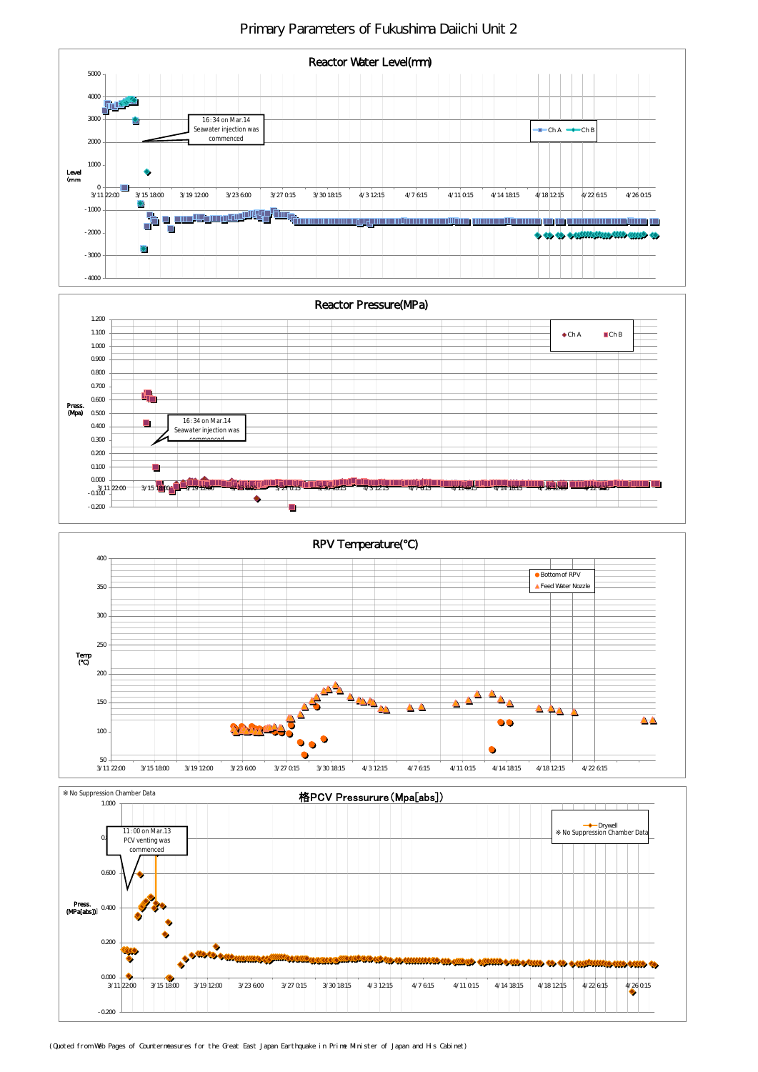Primary Parameters of Fukushima Daiichi Unit 2







| <b>Suppression Chamber</b><br><sup>.</sup> Data | 格PC\<br>' Pressurure (Mpa[abs] <i>)</i><br>J۷. |  |
|-------------------------------------------------|------------------------------------------------|--|
| 1. $\alpha x$                                   |                                                |  |



(Quoted from Web Pages of Countermeasures for the Great East Japan Earthquake in Prime Minister of Japan and His Cabinet)